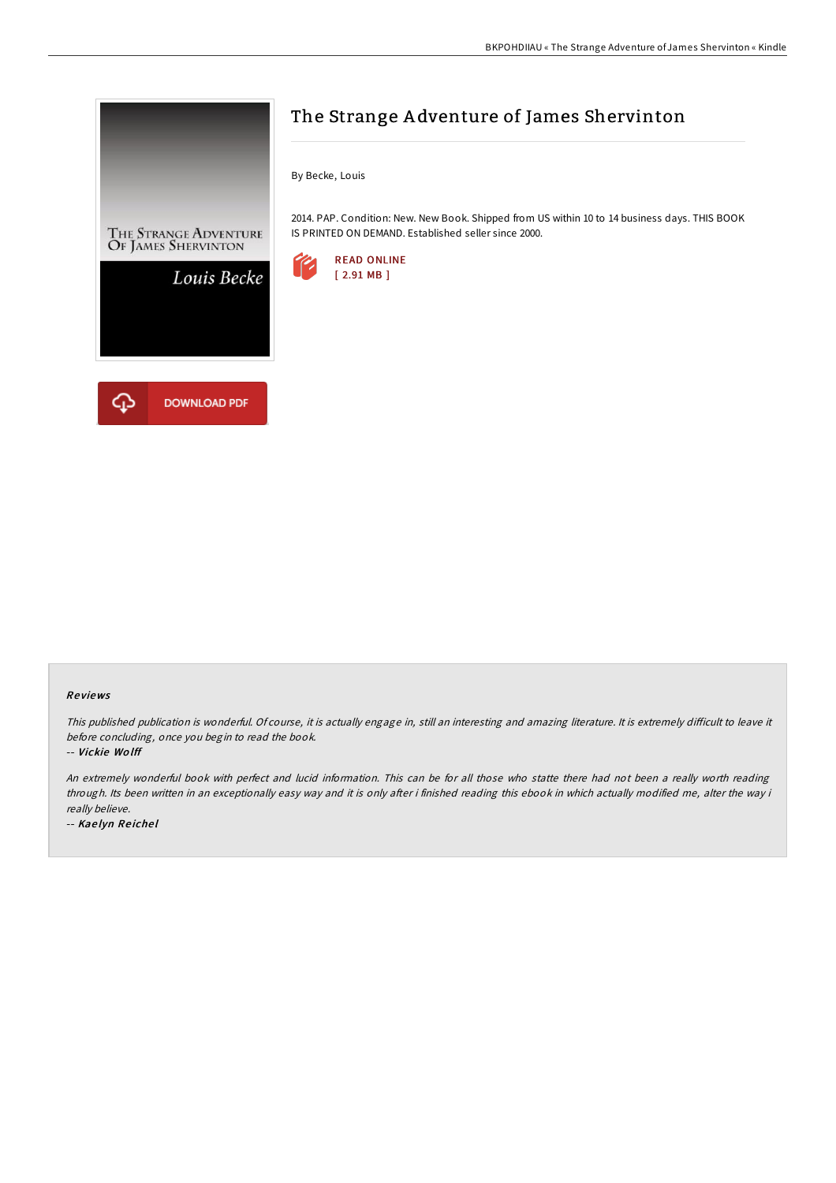

# The Strange A dventure of James Shervinton

By Becke, Louis

2014. PAP. Condition: New. New Book. Shipped from US within 10 to 14 business days. THIS BOOK IS PRINTED ON DEMAND. Established seller since 2000.



### Re views

This published publication is wonderful. Of course, it is actually engage in, still an interesting and amazing literature. It is extremely difficult to leave it before concluding, once you begin to read the book.

-- Vickie Wo lff

An extremely wonderful book with perfect and lucid information. This can be for all those who statte there had not been <sup>a</sup> really worth reading through. Its been written in an exceptionally easy way and it is only after i finished reading this ebook in which actually modified me, alter the way i really believe.

-- Kae lyn Re iche l